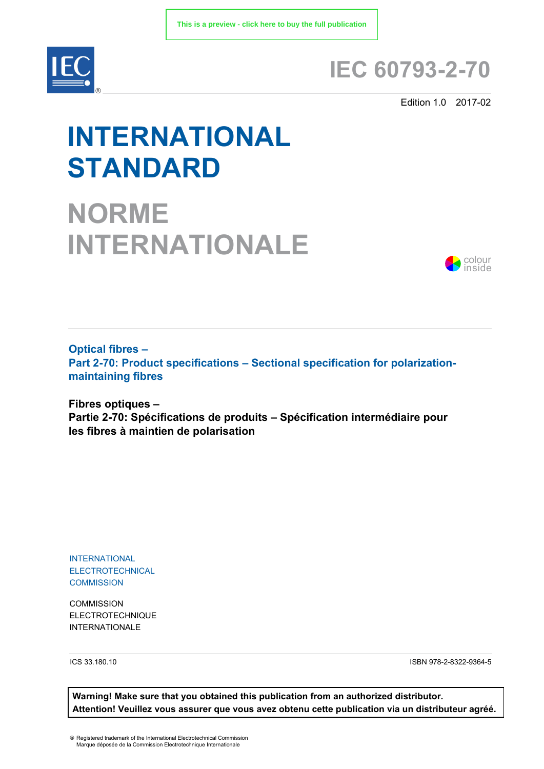

# **IEC 60793-2-70**

Edition 1.0 2017-02

# **INTERNATIONAL STANDARD**

**NORME INTERNATIONALE**



**Optical fibres – Part 2-70: Product specifications – Sectional specification for polarizationmaintaining fibres**

**Fibres optiques – Partie 2-70: Spécifications de produits – Spécification intermédiaire pour les fibres à maintien de polarisation** 

INTERNATIONAL ELECTROTECHNICAL **COMMISSION** 

**COMMISSION** ELECTROTECHNIQUE INTERNATIONALE

ICS 33.180.10 ISBN 978-2-8322-9364-5

**Warning! Make sure that you obtained this publication from an authorized distributor. Attention! Veuillez vous assurer que vous avez obtenu cette publication via un distributeur agréé.**

® Registered trademark of the International Electrotechnical Commission Marque déposée de la Commission Electrotechnique Internationale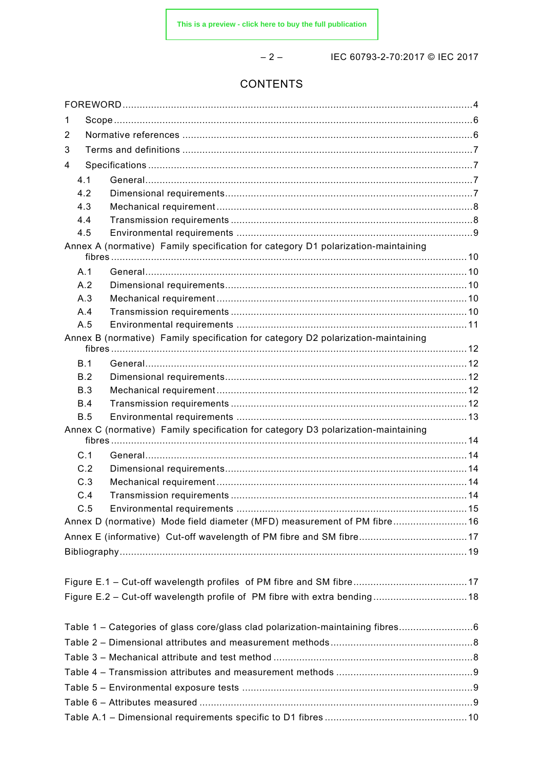$-2-$ 

# IEC 60793-2-70:2017 © IEC 2017

# CONTENTS

| 1          |                                                                                   |  |  |
|------------|-----------------------------------------------------------------------------------|--|--|
| 2          |                                                                                   |  |  |
| 3          |                                                                                   |  |  |
| 4          |                                                                                   |  |  |
| 4.1        |                                                                                   |  |  |
| 4.2        |                                                                                   |  |  |
| 4.3        |                                                                                   |  |  |
| 4.4        |                                                                                   |  |  |
| 4.5        |                                                                                   |  |  |
|            | Annex A (normative) Family specification for category D1 polarization-maintaining |  |  |
| A.1        |                                                                                   |  |  |
| A.2        |                                                                                   |  |  |
| A.3        |                                                                                   |  |  |
| A.4        |                                                                                   |  |  |
| A.5        |                                                                                   |  |  |
|            | Annex B (normative) Family specification for category D2 polarization-maintaining |  |  |
|            |                                                                                   |  |  |
| B.1<br>B.2 |                                                                                   |  |  |
| B.3        |                                                                                   |  |  |
| B.4        |                                                                                   |  |  |
| B.5        |                                                                                   |  |  |
|            | Annex C (normative) Family specification for category D3 polarization-maintaining |  |  |
| C.1        |                                                                                   |  |  |
| C.2        |                                                                                   |  |  |
| C.3        |                                                                                   |  |  |
| C.4        |                                                                                   |  |  |
| C.5        |                                                                                   |  |  |
|            | Annex D (normative) Mode field diameter (MFD) measurement of PM fibre 16          |  |  |
|            | Annex E (informative) Cut-off wavelength of PM fibre and SM fibre17               |  |  |
|            |                                                                                   |  |  |
|            |                                                                                   |  |  |
|            |                                                                                   |  |  |
|            | Figure E.2 - Cut-off wavelength profile of PM fibre with extra bending18          |  |  |
|            |                                                                                   |  |  |
|            | Table 1 - Categories of glass core/glass clad polarization-maintaining fibres     |  |  |
|            |                                                                                   |  |  |
|            |                                                                                   |  |  |
|            |                                                                                   |  |  |
|            |                                                                                   |  |  |
|            |                                                                                   |  |  |
|            |                                                                                   |  |  |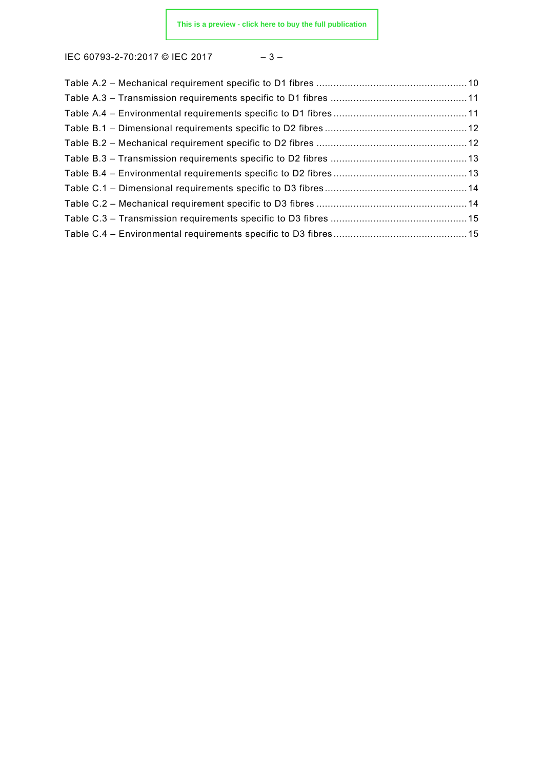IEC 60793-2-70:2017 © IEC 2017 - 3-

|--|--|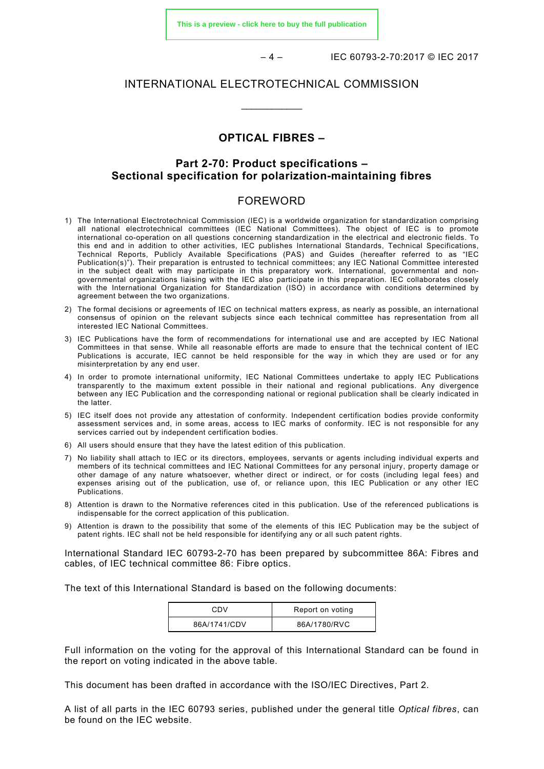**[This is a preview - click here to buy the full publication](https://webstore.iec.ch/publication/31213&preview)**

– 4 – IEC 60793-2-70:2017 © IEC 2017

#### INTERNATIONAL ELECTROTECHNICAL COMMISSION

\_\_\_\_\_\_\_\_\_\_\_\_

# **OPTICAL FIBRES –**

## **Part 2-70: Product specifications – Sectional specification for polarization-maintaining fibres**

#### FOREWORD

- <span id="page-3-0"></span>1) The International Electrotechnical Commission (IEC) is a worldwide organization for standardization comprising all national electrotechnical committees (IEC National Committees). The object of IEC is to promote international co-operation on all questions concerning standardization in the electrical and electronic fields. To this end and in addition to other activities, IEC publishes International Standards, Technical Specifications, Technical Reports, Publicly Available Specifications (PAS) and Guides (hereafter referred to as "IEC Publication(s)"). Their preparation is entrusted to technical committees; any IEC National Committee interested in the subject dealt with may participate in this preparatory work. International, governmental and nongovernmental organizations liaising with the IEC also participate in this preparation. IEC collaborates closely with the International Organization for Standardization (ISO) in accordance with conditions determined by agreement between the two organizations.
- 2) The formal decisions or agreements of IEC on technical matters express, as nearly as possible, an international consensus of opinion on the relevant subjects since each technical committee has representation from all interested IEC National Committees.
- 3) IEC Publications have the form of recommendations for international use and are accepted by IEC National Committees in that sense. While all reasonable efforts are made to ensure that the technical content of IEC Publications is accurate, IEC cannot be held responsible for the way in which they are used or for any misinterpretation by any end user.
- 4) In order to promote international uniformity, IEC National Committees undertake to apply IEC Publications transparently to the maximum extent possible in their national and regional publications. Any divergence between any IEC Publication and the corresponding national or regional publication shall be clearly indicated in the latter.
- 5) IEC itself does not provide any attestation of conformity. Independent certification bodies provide conformity assessment services and, in some areas, access to IEC marks of conformity. IEC is not responsible for any services carried out by independent certification bodies.
- 6) All users should ensure that they have the latest edition of this publication.
- 7) No liability shall attach to IEC or its directors, employees, servants or agents including individual experts and members of its technical committees and IEC National Committees for any personal injury, property damage or other damage of any nature whatsoever, whether direct or indirect, or for costs (including legal fees) and expenses arising out of the publication, use of, or reliance upon, this IEC Publication or any other IEC Publications.
- 8) Attention is drawn to the Normative references cited in this publication. Use of the referenced publications is indispensable for the correct application of this publication.
- 9) Attention is drawn to the possibility that some of the elements of this IEC Publication may be the subject of patent rights. IEC shall not be held responsible for identifying any or all such patent rights.

International Standard IEC 60793-2-70 has been prepared by subcommittee 86A: Fibres and cables, of IEC technical committee 86: Fibre optics.

The text of this International Standard is based on the following documents:

| CDV          | Report on voting |  |
|--------------|------------------|--|
| 86A/1741/CDV | 86A/1780/RVC     |  |

Full information on the voting for the approval of this International Standard can be found in the report on voting indicated in the above table.

This document has been drafted in accordance with the ISO/IEC Directives, Part 2.

A list of all parts in the IEC 60793 series, published under the general title *Optical fibres*, can be found on the IEC website.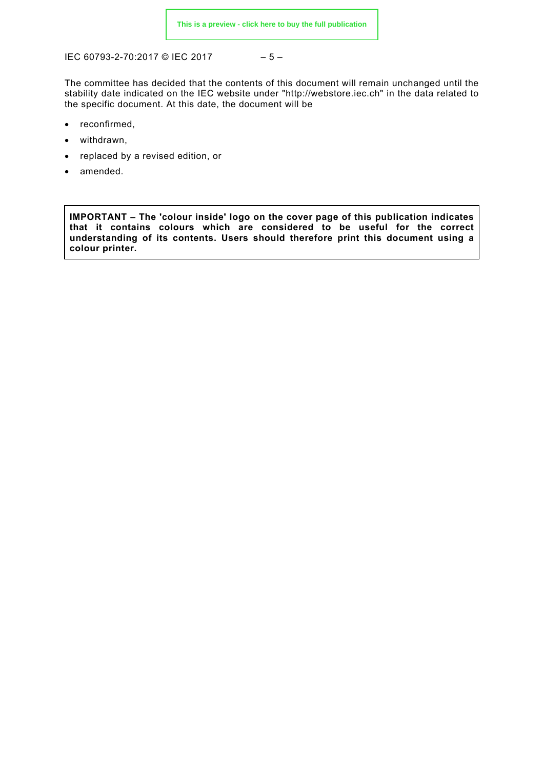IEC 60793-2-70:2017 © IEC 2017 – 5 –

The committee has decided that the contents of this document will remain unchanged until the stability date indicated on the IEC website under "http://webstore.iec.ch" in the data related to the specific document. At this date, the document will be

- reconfirmed,
- withdrawn,
- replaced by a revised edition, or
- amended.

**IMPORTANT – The 'colour inside' logo on the cover page of this publication indicates that it contains colours which are considered to be useful for the correct understanding of its contents. Users should therefore print this document using a colour printer.**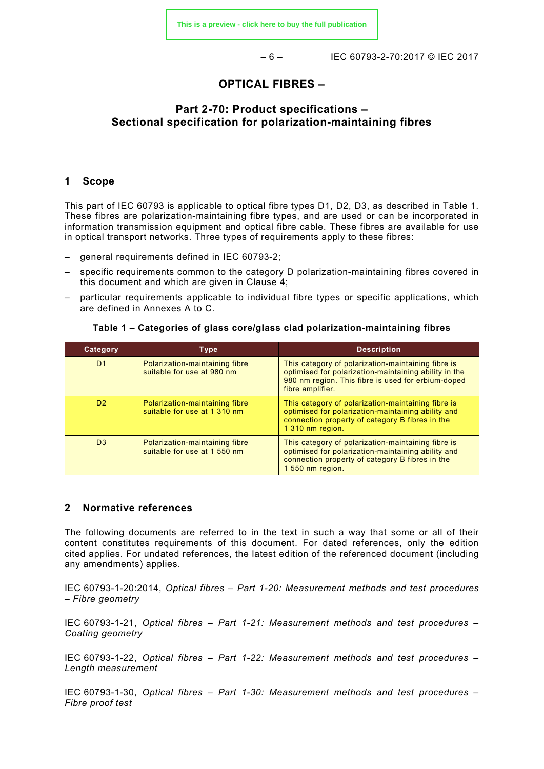– 6 – IEC 60793-2-70:2017 © IEC 2017

#### **OPTICAL FIBRES –**

# **Part 2-70: Product specifications – Sectional specification for polarization-maintaining fibres**

#### <span id="page-5-0"></span>**1 Scope**

This part of IEC 60793 is applicable to optical fibre types D1, D2, D3, as described in [Table 1.](#page-5-2) These fibres are polarization-maintaining fibre types, and are used or can be incorporated in information transmission equipment and optical fibre cable. These fibres are available for use in optical transport networks. Three types of requirements apply to these fibres:

- general requirements defined in IEC 60793-2;
- specific requirements common to the category D polarization-maintaining fibres covered in this document and which are given in Clause 4;
- particular requirements applicable to individual fibre types or specific applications, which are defined in Annexes A to C.

<span id="page-5-2"></span>

| Category       | <b>Type</b>                                                    | <b>Description</b>                                                                                                                                                                    |
|----------------|----------------------------------------------------------------|---------------------------------------------------------------------------------------------------------------------------------------------------------------------------------------|
| D <sub>1</sub> | Polarization-maintaining fibre<br>suitable for use at 980 nm   | This category of polarization-maintaining fibre is<br>optimised for polarization-maintaining ability in the<br>980 nm region. This fibre is used for erbium-doped<br>fibre amplifier. |
| D <sub>2</sub> | Polarization-maintaining fibre<br>suitable for use at 1 310 nm | This category of polarization-maintaining fibre is<br>optimised for polarization-maintaining ability and<br>connection property of category B fibres in the<br>1 310 nm region.       |
| D <sub>3</sub> | Polarization-maintaining fibre<br>suitable for use at 1 550 nm | This category of polarization-maintaining fibre is<br>optimised for polarization-maintaining ability and<br>connection property of category B fibres in the<br>1 550 nm region.       |

#### **Table 1 – Categories of glass core/glass clad polarization-maintaining fibres**

#### <span id="page-5-1"></span>**2 Normative references**

The following documents are referred to in the text in such a way that some or all of their content constitutes requirements of this document. For dated references, only the edition cited applies. For undated references, the latest edition of the referenced document (including any amendments) applies.

IEC 60793-1-20:2014, *Optical fibres – Part 1-20: Measurement methods and test procedures – Fibre geometry*

IEC 60793-1-21, *Optical fibres – Part 1-21: Measurement methods and test procedures – Coating geometry*

IEC 60793-1-22, *Optical fibres – Part 1-22: Measurement methods and test procedures – Length measurement*

IEC 60793-1-30, *Optical fibres – Part 1-30: Measurement methods and test procedures – Fibre proof test*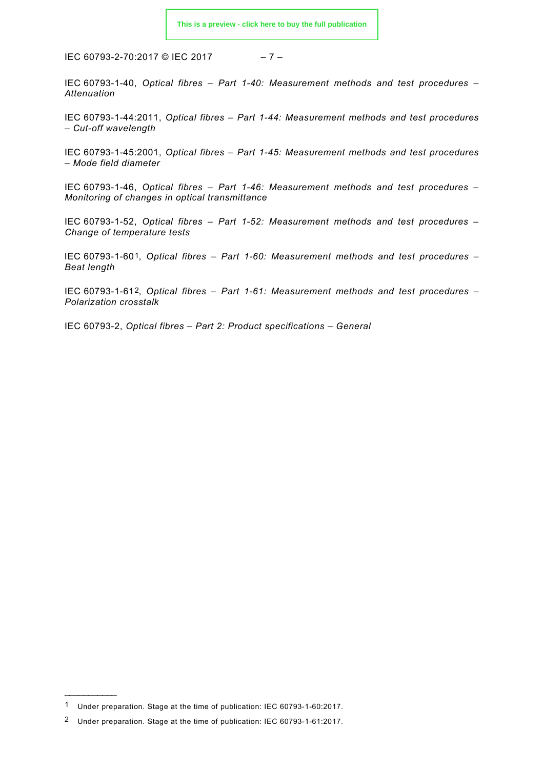IEC 60793-2-70:2017 © IEC 2017 – 7 –

IEC 60793-1-40, *Optical fibres – Part 1-40: Measurement methods and test procedures – Attenuation*

IEC 60793-1-44:2011, *Optical fibres – Part 1-44: Measurement methods and test procedures – Cut-off wavelength*

IEC 60793-1-45:2001, *Optical fibres – Part 1-45: Measurement methods and test procedures – Mode field diameter*

IEC 60793-1-46, *Optical fibres – Part 1-46: Measurement methods and test procedures – Monitoring of changes in optical transmittance*

IEC 60793-1-52, *Optical fibres – Part 1-52: Measurement methods and test procedures – Change of temperature tests*

IEC 60793-1-60[1,](#page-6-4) *Optical fibres – Part 1-60: Measurement methods and test procedures – Beat length*

IEC 60793-1-61[2,](#page-6-5) *Optical fibres – Part 1-61: Measurement methods and test procedures – Polarization crosstalk*

<span id="page-6-2"></span><span id="page-6-1"></span><span id="page-6-0"></span>IEC 60793-2, *Optical fibres – Part 2: Product specifications – General*

<span id="page-6-3"></span>\_\_\_\_\_\_\_\_\_\_\_\_\_

<span id="page-6-4"></span><sup>1</sup> Under preparation. Stage at the time of publication: IEC 60793-1-60:2017.

<span id="page-6-5"></span><sup>2</sup> Under preparation. Stage at the time of publication: IEC 60793-1-61:2017.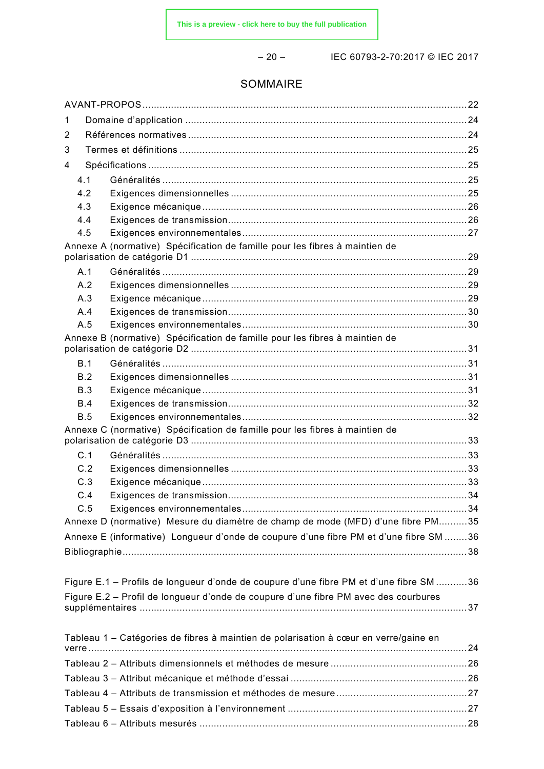– 20 – IEC 60793-2-70:2017 © IEC 2017

# SOMMAIRE

| 1          |                                                                                        |  |  |
|------------|----------------------------------------------------------------------------------------|--|--|
| 2          |                                                                                        |  |  |
| 3          |                                                                                        |  |  |
| 4          |                                                                                        |  |  |
| 4.1        |                                                                                        |  |  |
| 4.2        |                                                                                        |  |  |
| 4.3        |                                                                                        |  |  |
| 4.4        |                                                                                        |  |  |
| 4.5        |                                                                                        |  |  |
|            | Annexe A (normative) Spécification de famille pour les fibres à maintien de            |  |  |
| A.1        |                                                                                        |  |  |
| A.2        |                                                                                        |  |  |
| A.3        |                                                                                        |  |  |
| A.4        |                                                                                        |  |  |
| A.5        |                                                                                        |  |  |
|            | Annexe B (normative) Spécification de famille pour les fibres à maintien de            |  |  |
| B.1        |                                                                                        |  |  |
| B.2        |                                                                                        |  |  |
| B.3        |                                                                                        |  |  |
| <b>B.4</b> |                                                                                        |  |  |
| <b>B.5</b> |                                                                                        |  |  |
|            | Annexe C (normative) Spécification de famille pour les fibres à maintien de            |  |  |
| C.1        |                                                                                        |  |  |
| C.2        |                                                                                        |  |  |
| C.3        |                                                                                        |  |  |
| C.4        |                                                                                        |  |  |
| C.5        |                                                                                        |  |  |
|            | Annexe D (normative) Mesure du diamètre de champ de mode (MFD) d'une fibre PM35        |  |  |
|            | Annexe E (informative) Longueur d'onde de coupure d'une fibre PM et d'une fibre SM 36  |  |  |
|            |                                                                                        |  |  |
|            |                                                                                        |  |  |
|            | Figure E.1 - Profils de longueur d'onde de coupure d'une fibre PM et d'une fibre SM 36 |  |  |
|            | Figure E.2 - Profil de longueur d'onde de coupure d'une fibre PM avec des courbures    |  |  |
|            |                                                                                        |  |  |
|            | Tableau 1 - Catégories de fibres à maintien de polarisation à cœur en verre/gaine en   |  |  |
|            |                                                                                        |  |  |
|            |                                                                                        |  |  |
|            |                                                                                        |  |  |
|            |                                                                                        |  |  |
|            |                                                                                        |  |  |
|            |                                                                                        |  |  |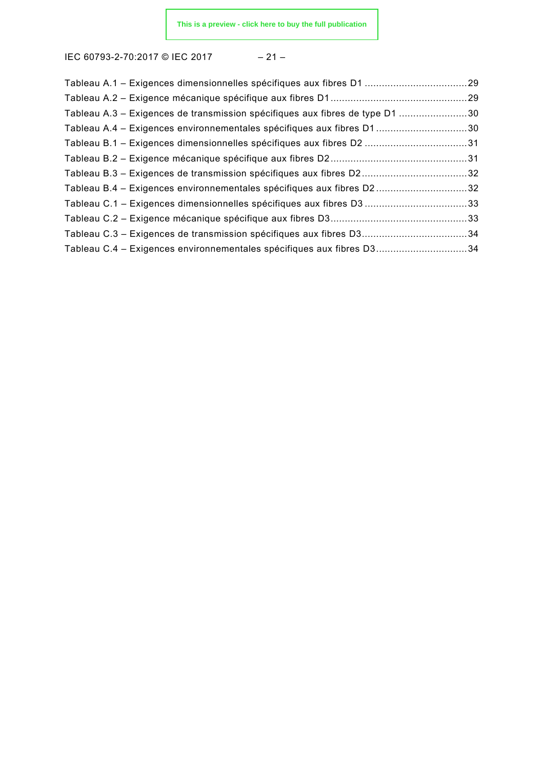IEC 60793-2-70:2017 © IEC 2017 – 21 –

| Tableau A.3 – Exigences de transmission spécifiques aux fibres de type D1 30 |  |
|------------------------------------------------------------------------------|--|
| Tableau A.4 – Exigences environnementales spécifiques aux fibres D130        |  |
| Tableau B.1 - Exigences dimensionnelles spécifiques aux fibres D2 31         |  |
|                                                                              |  |
| Tableau B.3 - Exigences de transmission spécifiques aux fibres D232          |  |
| Tableau B.4 - Exigences environnementales spécifiques aux fibres D232        |  |
| Tableau C.1 - Exigences dimensionnelles spécifiques aux fibres D3 33         |  |
|                                                                              |  |
| Tableau C.3 - Exigences de transmission spécifiques aux fibres D334          |  |
| Tableau C.4 - Exigences environnementales spécifiques aux fibres D334        |  |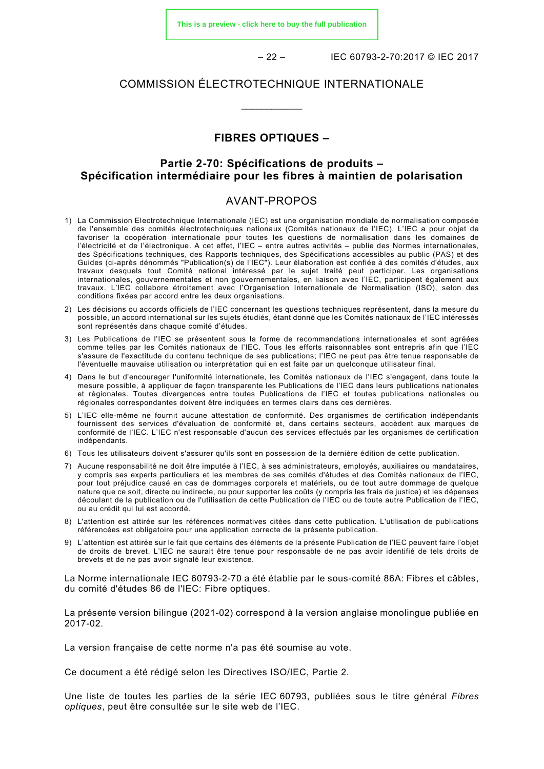**[This is a preview - click here to buy the full publication](https://webstore.iec.ch/publication/31213&preview)**

– 22 – IEC 60793-2-70:2017 © IEC 2017

#### COMMISSION ÉLECTROTECHNIQUE INTERNATIONALE

\_\_\_\_\_\_\_\_\_\_\_\_

# **FIBRES OPTIQUES –**

# **Partie 2-70: Spécifications de produits – Spécification intermédiaire pour les fibres à maintien de polarisation**

#### AVANT-PROPOS

- <span id="page-9-0"></span>1) La Commission Electrotechnique Internationale (IEC) est une organisation mondiale de normalisation composée de l'ensemble des comités électrotechniques nationaux (Comités nationaux de l'IEC). L'IEC a pour objet de favoriser la coopération internationale pour toutes les questions de normalisation dans les domaines de l'électricité et de l'électronique. A cet effet, l'IEC – entre autres activités – publie des Normes internationales, des Spécifications techniques, des Rapports techniques, des Spécifications accessibles au public (PAS) et des Guides (ci-après dénommés "Publication(s) de l'IEC"). Leur élaboration est confiée à des comités d'études, aux travaux desquels tout Comité national intéressé par le sujet traité peut participer. Les organisations internationales, gouvernementales et non gouvernementales, en liaison avec l'IEC, participent également aux travaux. L'IEC collabore étroitement avec l'Organisation Internationale de Normalisation (ISO), selon des conditions fixées par accord entre les deux organisations.
- 2) Les décisions ou accords officiels de l'IEC concernant les questions techniques représentent, dans la mesure du possible, un accord international sur les sujets étudiés, étant donné que les Comités nationaux de l'IEC intéressés sont représentés dans chaque comité d'études.
- 3) Les Publications de l'IEC se présentent sous la forme de recommandations internationales et sont agréées comme telles par les Comités nationaux de l'IEC. Tous les efforts raisonnables sont entrepris afin que l'IEC s'assure de l'exactitude du contenu technique de ses publications; l'IEC ne peut pas être tenue responsable de l'éventuelle mauvaise utilisation ou interprétation qui en est faite par un quelconque utilisateur final.
- 4) Dans le but d'encourager l'uniformité internationale, les Comités nationaux de l'IEC s'engagent, dans toute la mesure possible, à appliquer de façon transparente les Publications de l'IEC dans leurs publications nationales et régionales. Toutes divergences entre toutes Publications de l'IEC et toutes publications nationales ou régionales correspondantes doivent être indiquées en termes clairs dans ces dernières.
- 5) L'IEC elle-même ne fournit aucune attestation de conformité. Des organismes de certification indépendants fournissent des services d'évaluation de conformité et, dans certains secteurs, accèdent aux marques de conformité de l'IEC. L'IEC n'est responsable d'aucun des services effectués par les organismes de certification indépendants.
- 6) Tous les utilisateurs doivent s'assurer qu'ils sont en possession de la dernière édition de cette publication.
- 7) Aucune responsabilité ne doit être imputée à l'IEC, à ses administrateurs, employés, auxiliaires ou mandataires, y compris ses experts particuliers et les membres de ses comités d'études et des Comités nationaux de l'IEC, pour tout préjudice causé en cas de dommages corporels et matériels, ou de tout autre dommage de quelque nature que ce soit, directe ou indirecte, ou pour supporter les coûts (y compris les frais de justice) et les dépenses découlant de la publication ou de l'utilisation de cette Publication de l'IEC ou de toute autre Publication de l'IEC, ou au crédit qui lui est accordé.
- 8) L'attention est attirée sur les références normatives citées dans cette publication. L'utilisation de publications référencées est obligatoire pour une application correcte de la présente publication.
- 9) L'attention est attirée sur le fait que certains des éléments de la présente Publication de l'IEC peuvent faire l'objet de droits de brevet. L'IEC ne saurait être tenue pour responsable de ne pas avoir identifié de tels droits de brevets et de ne pas avoir signalé leur existence.

La Norme internationale IEC 60793-2-70 a été établie par le sous-comité 86A: Fibres et câbles, du comité d'études 86 de l'IEC: Fibre optiques.

La présente version bilingue (2021-02) correspond à la version anglaise monolingue publiée en 2017-02.

La version française de cette norme n'a pas été soumise au vote.

Ce document a été rédigé selon les Directives ISO/IEC, Partie 2.

Une liste de toutes les parties de la série IEC 60793, publiées sous le titre général *Fibres optiques*, peut être consultée sur le site web de l'IEC.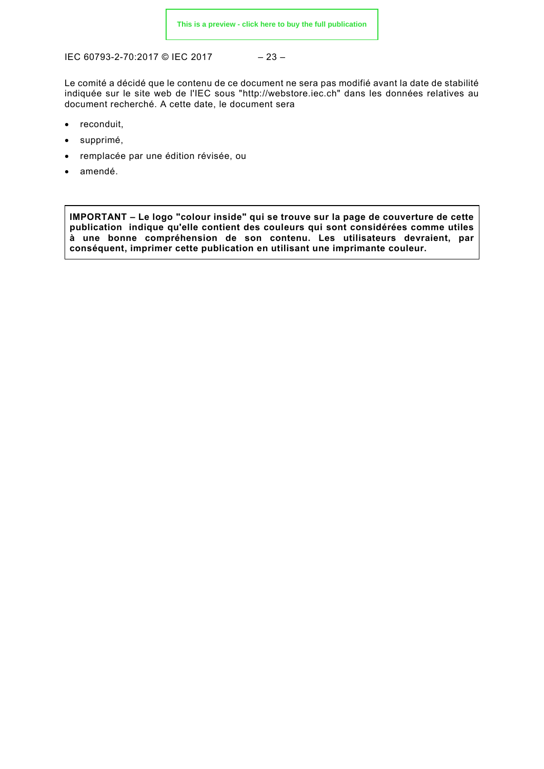IEC 60793-2-70:2017 © IEC 2017 – 23 –

Le comité a décidé que le contenu de ce document ne sera pas modifié avant la date de stabilité indiquée sur le site web de l'IEC sous "http://webstore.iec.ch" dans les données relatives au document recherché. A cette date, le document sera

- reconduit,
- supprimé,
- remplacée par une édition révisée, ou
- amendé.

**IMPORTANT – Le logo "colour inside" qui se trouve sur la page de couverture de cette publication indique qu'elle contient des couleurs qui sont considérées comme utiles à une bonne compréhension de son contenu. Les utilisateurs devraient, par conséquent, imprimer cette publication en utilisant une imprimante couleur.**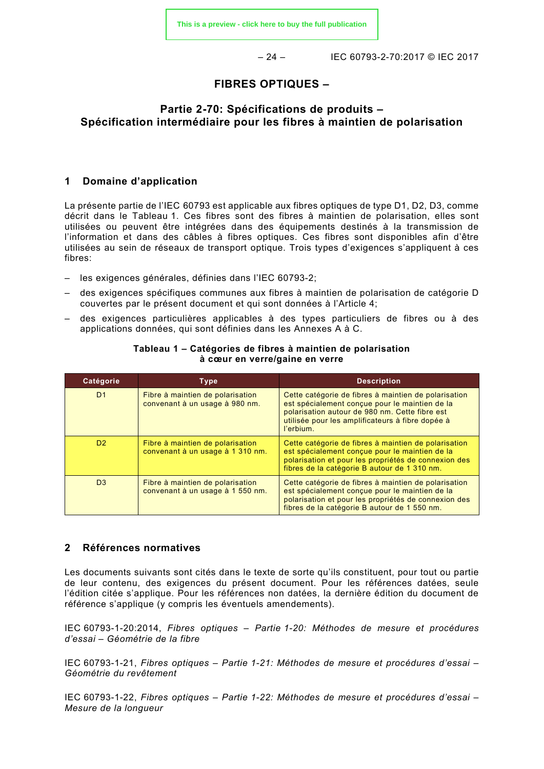– 24 – IEC 60793-2-70:2017 © IEC 2017

# **FIBRES OPTIQUES –**

# **Partie 2-70: Spécifications de produits – Spécification intermédiaire pour les fibres à maintien de polarisation**

### <span id="page-11-0"></span>**1 Domaine d'application**

La présente partie de l'IEC 60793 est applicable aux fibres optiques de type D1, D2, D3, comme décrit dans le [Tableau 1.](#page-11-2) Ces fibres sont des fibres à maintien de polarisation, elles sont utilisées ou peuvent être intégrées dans des équipements destinés à la transmission de l'information et dans des câbles à fibres optiques. Ces fibres sont disponibles afin d'être utilisées au sein de réseaux de transport optique. Trois types d'exigences s'appliquent à ces fibres:

- les exigences générales, définies dans l'IEC 60793-2;
- des exigences spécifiques communes aux fibres à maintien de polarisation de catégorie D couvertes par le présent document et qui sont données à l'Article 4;
- <span id="page-11-2"></span>– des exigences particulières applicables à des types particuliers de fibres ou à des applications données, qui sont définies dans les Annexes A à C.

| Catégorie      | <b>Type</b>                                                          | <b>Description</b>                                                                                                                                                                                                        |
|----------------|----------------------------------------------------------------------|---------------------------------------------------------------------------------------------------------------------------------------------------------------------------------------------------------------------------|
| D <sub>1</sub> | Fibre à maintien de polarisation<br>convenant à un usage à 980 nm.   | Cette catégorie de fibres à maintien de polarisation<br>est spécialement conçue pour le maintien de la<br>polarisation autour de 980 nm. Cette fibre est<br>utilisée pour les amplificateurs à fibre dopée à<br>l'erbium. |
| D <sub>2</sub> | Fibre à maintien de polarisation<br>convenant à un usage à 1 310 nm. | Cette catégorie de fibres à maintien de polarisation<br>est spécialement conçue pour le maintien de la<br>polarisation et pour les propriétés de connexion des<br>fibres de la catégorie B autour de 1 310 nm.            |
| D <sub>3</sub> | Fibre à maintien de polarisation<br>convenant à un usage à 1 550 nm. | Cette catégorie de fibres à maintien de polarisation<br>est spécialement conçue pour le maintien de la<br>polarisation et pour les propriétés de connexion des<br>fibres de la catégorie B autour de 1 550 nm.            |

#### **Tableau 1 – Catégories de fibres à maintien de polarisation à cœur en verre/gaine en verre**

#### <span id="page-11-1"></span>**2 Références normatives**

Les documents suivants sont cités dans le texte de sorte qu'ils constituent, pour tout ou partie de leur contenu, des exigences du présent document. Pour les références datées, seule l'édition citée s'applique. Pour les références non datées, la dernière édition du document de référence s'applique (y compris les éventuels amendements).

IEC 60793-1-20:2014, *Fibres optiques – Partie 1-20: Méthodes de mesure et procédures d'essai – Géométrie de la fibre*

IEC 60793-1-21, *Fibres optiques – Partie 1-21: Méthodes de mesure et procédures d'essai – Géométrie du revêtement*

IEC 60793-1-22, *Fibres optiques – Partie 1-22: Méthodes de mesure et procédures d'essai – Mesure de la longueur*